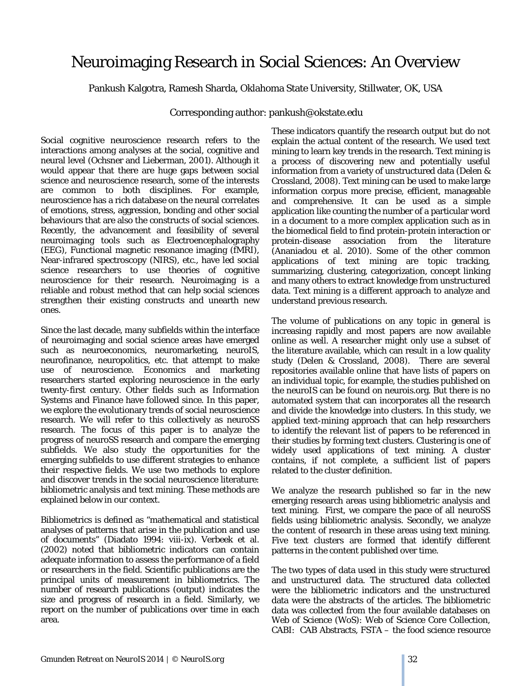## Neuroimaging Research in Social Sciences: An Overview

Pankush Kalgotra, Ramesh Sharda, Oklahoma State University, Stillwater, OK, USA

Corresponding author: pankush@okstate.edu

Social cognitive neuroscience research refers to the interactions among analyses at the social, cognitive and neural level (Ochsner and Lieberman, 2001). Although it would appear that there are huge gaps between social science and neuroscience research, some of the interests are common to both disciplines. For example, neuroscience has a rich database on the neural correlates of emotions, stress, aggression, bonding and other social behaviours that are also the constructs of social sciences. Recently, the advancement and feasibility of several neuroimaging tools such as Electroencephalography (EEG), Functional magnetic resonance imaging (fMRI), Near-infrared spectroscopy (NIRS), etc., have led social science researchers to use theories of cognitive neuroscience for their research. Neuroimaging is a reliable and robust method that can help social sciences strengthen their existing constructs and unearth new ones.

Since the last decade, many subfields within the interface of neuroimaging and social science areas have emerged such as neuroeconomics, neuromarketing, neuroIS, neurofinance, neuropolitics, etc. that attempt to make use of neuroscience. Economics and marketing researchers started exploring neuroscience in the early twenty-first century. Other fields such as Information Systems and Finance have followed since. In this paper, we explore the evolutionary trends of social neuroscience research. We will refer to this collectively as neuroSS research. The focus of this paper is to analyze the progress of neuroSS research and compare the emerging subfields. We also study the opportunities for the emerging subfields to use different strategies to enhance their respective fields. We use two methods to explore and discover trends in the social neuroscience literature: bibliometric analysis and text mining. These methods are explained below in our context.

Bibliometrics is defined as "mathematical and statistical analyses of patterns that arise in the publication and use of documents" (Diadato 1994: viii-ix). Verbeek et al. (2002) noted that bibliometric indicators can contain adequate information to assess the performance of a field or researchers in the field. Scientific publications are the principal units of measurement in bibliometrics. The number of research publications (output) indicates the size and progress of research in a field. Similarly, we report on the number of publications over time in each area.

These indicators quantify the research output but do not explain the actual content of the research. We used text mining to learn key trends in the research. Text mining is a process of discovering new and potentially useful information from a variety of unstructured data (Delen & Crossland, 2008). Text mining can be used to make large information corpus more precise, efficient, manageable and comprehensive. It can be used as a simple application like counting the number of a particular word in a document to a more complex application such as in the biomedical field to find protein-protein interaction or protein-disease association from the literature (Ananiadou et al. 2010). Some of the other common applications of text mining are topic tracking, summarizing, clustering, categorization, concept linking and many others to extract knowledge from unstructured data. Text mining is a different approach to analyze and understand previous research.

The volume of publications on any topic in general is increasing rapidly and most papers are now available online as well. A researcher might only use a subset of the literature available, which can result in a low quality study (Delen & Crossland, 2008). There are several repositories available online that have lists of papers on an individual topic, for example, the studies published on the neuroIS can be found on neurois.org. But there is no automated system that can incorporates all the research and divide the knowledge into clusters. In this study, we applied text-mining approach that can help researchers to identify the relevant list of papers to be referenced in their studies by forming text clusters. Clustering is one of widely used applications of text mining. A cluster contains, if not complete, a sufficient list of papers related to the cluster definition.

We analyze the research published so far in the new emerging research areas using bibliometric analysis and text mining. First, we compare the pace of all neuroSS fields using bibliometric analysis. Secondly, we analyze the content of research in these areas using text mining. Five text clusters are formed that identify different patterns in the content published over time.

The two types of data used in this study were structured and unstructured data. The structured data collected were the bibliometric indicators and the unstructured data were the abstracts of the articles. The bibliometric data was collected from the four available databases on Web of Science (WoS): Web of Science Core Collection, CABI: CAB Abstracts, FSTA – the food science resource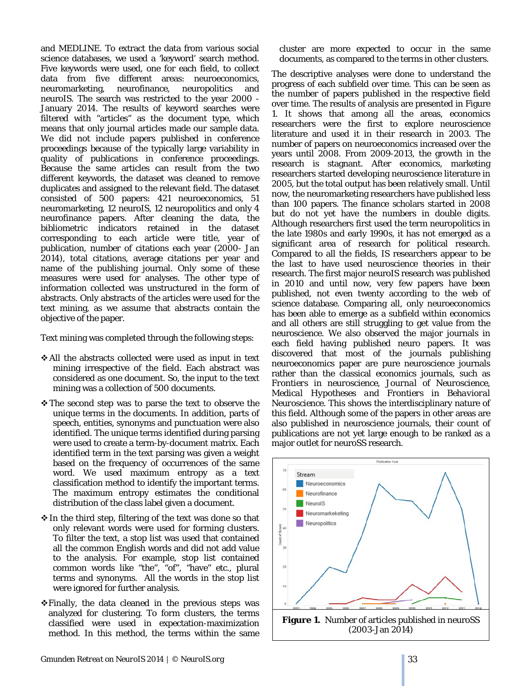and MEDLINE. To extract the data from various social science databases, we used a 'keyword' search method. Five keywords were used, one for each field, to collect data from five different areas: neuroeconomics, neuromarketing, neurofinance, neuropolitics and neuroIS. The search was restricted to the year 2000 - January 2014. The results of keyword searches were filtered with "articles" as the document type, which means that only journal articles made our sample data. We did not include papers published in conference proceedings because of the typically large variability in quality of publications in conference proceedings. Because the same articles can result from the two different keywords, the dataset was cleaned to remove duplicates and assigned to the relevant field. The dataset consisted of 500 papers: 421 neuroeconomics, 51 neuromarketing, 12 neuroIS, 12 neuropolitics and only 4 neurofinance papers. After cleaning the data, the bibliometric indicators retained in the dataset corresponding to each article were title, year of publication, number of citations each year (2000- Jan 2014), total citations, average citations per year and name of the publishing journal. Only some of these measures were used for analyses. The other type of information collected was unstructured in the form of abstracts. Only abstracts of the articles were used for the text mining, as we assume that abstracts contain the objective of the paper.

Text mining was completed through the following steps:

- All the abstracts collected were used as input in text mining irrespective of the field. Each abstract was considered as one document. So, the input to the text mining was a collection of 500 documents.
- \* The second step was to parse the text to observe the unique terms in the documents. In addition, parts of speech, entities, synonyms and punctuation were also identified. The unique terms identified during parsing were used to create a term-by-document matrix. Each identified term in the text parsing was given a weight based on the frequency of occurrences of the same word. We used maximum entropy as a text classification method to identify the important terms. The maximum entropy estimates the conditional distribution of the class label given a document.
- $\cdot$  In the third step, filtering of the text was done so that only relevant words were used for forming clusters. To filter the text, a stop list was used that contained all the common English words and did not add value to the analysis. For example, stop list contained common words like "the", "of", "have" etc., plural terms and synonyms. All the words in the stop list were ignored for further analysis.
- $\div$  Finally, the data cleaned in the previous steps was analyzed for clustering. To form clusters, the terms classified were used in expectation-maximization method. In this method, the terms within the same

cluster are more expected to occur in the same documents, as compared to the terms in other clusters.

The descriptive analyses were done to understand the progress of each subfield over time. This can be seen as the number of papers published in the respective field over time. The results of analysis are presented in Figure 1. It shows that among all the areas, economics researchers were the first to explore neuroscience literature and used it in their research in 2003. The number of papers on neuroeconomics increased over the years until 2008. From 2009-2013, the growth in the research is stagnant. After economics, marketing researchers started developing neuroscience literature in 2005, but the total output has been relatively small. Until now, the neuromarketing researchers have published less than 100 papers. The finance scholars started in 2008 but do not yet have the numbers in double digits. Although researchers first used the term neuropolitics in the late 1980s and early 1990s, it has not emerged as a significant area of research for political research. Compared to all the fields, IS researchers appear to be the last to have used neuroscience theories in their research. The first major neuroIS research was published in 2010 and until now, very few papers have been published, not even twenty according to the web of science database. Comparing all, only neuroeconomics has been able to emerge as a subfield within economics and all others are still struggling to get value from the neuroscience. We also observed the major journals in each field having published neuro papers. It was discovered that most of the journals publishing neuroeconomics paper are pure neuroscience journals rather than the classical economics journals, such as *Frontiers in neuroscience, Journal of Neuroscience, Medical Hypotheses and Frontiers in Behavioral Neuroscience*. This shows the interdisciplinary nature of this field. Although some of the papers in other areas are also published in neuroscience journals, their count of publications are not yet large enough to be ranked as a major outlet for neuroSS research.